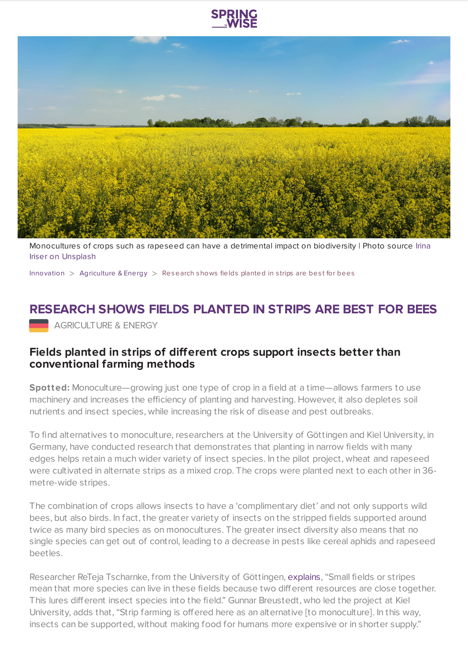



[Monocultures](https://unsplash.com/photos/DVeUvOEUwNA) of crops such as rapeseed can have a detrimental impact on biodiversity | Photo source Irina Iriser on Unsplash

[Innovation](https://www.springwise.com/search?type=innovation)  $>$  [Agriculture](https://www.springwise.com/search?type=innovation§or=agriculture-energy) & Energy  $>$  Research shows fields planted in strips are best for bees

## **RESEARCH SHOWS FIELDS PLANTED IN STRIPS ARE BEST FOR BEES**

**AGRICULTURE & ENERGY** 

## **Fields planted in strips of different crops support insects better than conventional farming methods**

**Spotted:** Monoculture—growing just one type of crop in a field at a time—allows farmers to use machinery and increases the efficiency of planting and harvesting. However, it also depletes soil nutrients and insect species, while increasing the risk of disease and pest outbreaks.

To find alternatives to monoculture, researchers at the University of Göttingen and Kiel University, in Germany, have conducted research that demonstrates that planting in narrow fields with many edges helps retain a much wider variety of insect species. In the pilot project, wheat and rapeseed were cultivated in alternate strips as a mixed crop. The crops were planted next to each other in 36 metre-wide stripes.

The combination of crops allows insects to have a 'complimentary diet' and not only supports wild bees, but also birds. In fact, the greater variety of insects on the stripped fields supported around twice as many bird species as on monocultures. The greater insect diversity also means that no single species can get out of control, leading to a decrease in pests like cereal aphids and rapeseed beetles.

Researcher ReTeja Tscharnke, from the University of Göttingen, [explains](https://international-agriculture.com/large-scale-strip-cultivation-test-in-germany-very-promising/), "Small fields or stripes mean that more species can live in these fields because two different resources are close together. This lures different insect species into the field." Gunnar Breustedt, who led the project at Kiel University, adds that, "Strip farming is offered here as an alternative [to monoculture]. In this way, insects can be supported, without making food for humans more expensive or in shorter supply."